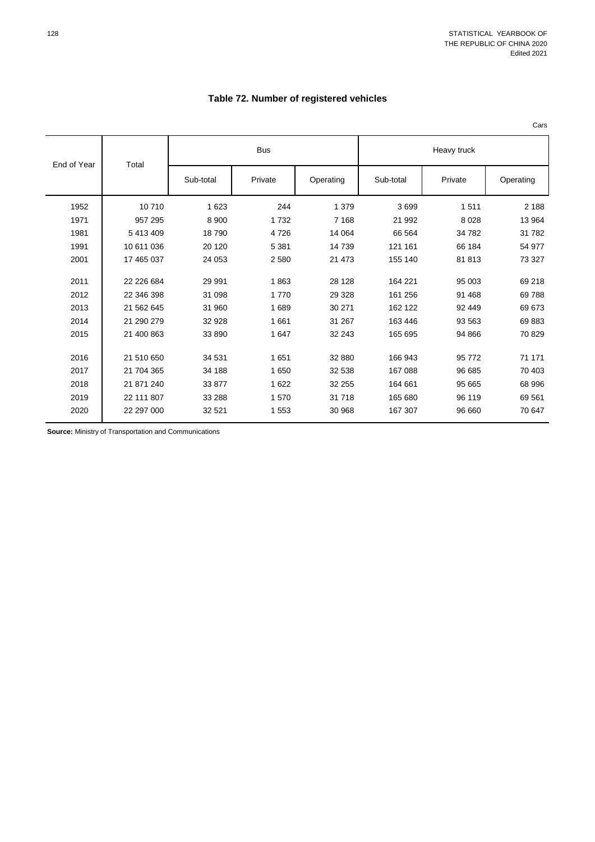## **Table 72. Number of registered vehicles**

Cars

| End of Year | Total      |           | <b>Bus</b> |           | Heavy truck |         |           |  |
|-------------|------------|-----------|------------|-----------|-------------|---------|-----------|--|
|             |            | Sub-total | Private    | Operating | Sub-total   | Private | Operating |  |
| 1952        | 10710      | 1 6 2 3   | 244        | 1 3 7 9   | 3699        | 1511    | 2 1 8 8   |  |
| 1971        | 957 295    | 8 9 0 0   | 1732       | 7 1 6 8   | 21 992      | 8 0 28  | 13 964    |  |
| 1981        | 5 413 409  | 18790     | 4726       | 14 0 64   | 66 564      | 34 782  | 31 782    |  |
| 1991        | 10 611 036 | 20 120    | 5 3 8 1    | 14 739    | 121 161     | 66 184  | 54 977    |  |
| 2001        | 17 465 037 | 24 053    | 2 5 8 0    | 21 473    | 155 140     | 81813   | 73 327    |  |
| 2011        | 22 226 684 | 29 991    | 1863       | 28 128    | 164 221     | 95 003  | 69 218    |  |
| 2012        | 22 346 398 | 31 098    | 1770       | 29 3 28   | 161 256     | 91 468  | 69 788    |  |
| 2013        | 21 562 645 | 31 960    | 1689       | 30 271    | 162 122     | 92 449  | 69 673    |  |
| 2014        | 21 290 279 | 32 9 28   | 1661       | 31 267    | 163 446     | 93 563  | 69883     |  |
| 2015        | 21 400 863 | 33 890    | 1647       | 32 243    | 165 695     | 94 866  | 70 829    |  |
| 2016        | 21 510 650 | 34 531    | 1651       | 32 880    | 166 943     | 95 772  | 71 171    |  |
| 2017        | 21 704 365 | 34 188    | 1 650      | 32 538    | 167 088     | 96 685  | 70 403    |  |
| 2018        | 21 871 240 | 33 877    | 1 6 2 2    | 32 255    | 164 661     | 95 665  | 68 996    |  |
| 2019        | 22 111 807 | 33 288    | 1570       | 31 718    | 165 680     | 96 119  | 69 561    |  |
| 2020        | 22 297 000 | 32 5 21   | 1 553      | 30 968    | 167 307     | 96 660  | 70 647    |  |

**Source:** Ministry of Transportation and Communications